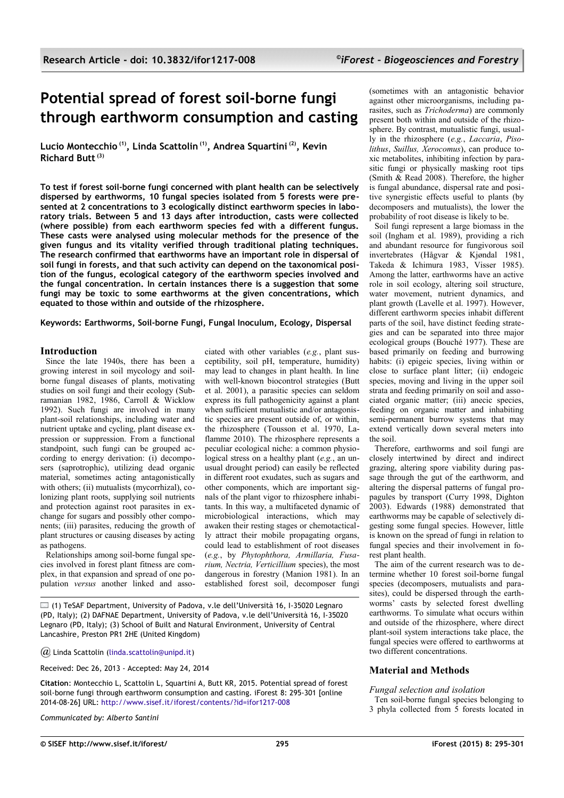# **Potential spread of forest soil-borne fungi through earthworm consumption and casting**

**Lucio Montecchio (1), Linda Scattolin (1), Andrea Squartini (2), Kevin Richard Butt (3)**

**To test if forest soil-borne fungi concerned with plant health can be selectively dispersed by earthworms, 10 fungal species isolated from 5 forests were presented at 2 concentrations to 3 ecologically distinct earthworm species in laboratory trials. Between 5 and 13 days after introduction, casts were collected (where possible) from each earthworm species fed with a different fungus. These casts were analysed using molecular methods for the presence of the given fungus and its vitality verified through traditional plating techniques. The research confirmed that earthworms have an important role in dispersal of soil fungi in forests, and that such activity can depend on the taxonomical position of the fungus, ecological category of the earthworm species involved and the fungal concentration. In certain instances there is a suggestion that some fungi may be toxic to some earthworms at the given concentrations, which equated to those within and outside of the rhizosphere.**

**Keywords: Earthworms, Soil-borne Fungi, Fungal Inoculum, Ecology, Dispersal**

# **Introduction**

Since the late 1940s, there has been a growing interest in soil mycology and soilborne fungal diseases of plants, motivating studies on soil fungi and their ecology (Subramanian 1982, 1986, Carroll & Wicklow 1992). Such fungi are involved in many plant-soil relationships, including water and nutrient uptake and cycling, plant disease expression or suppression. From a functional standpoint, such fungi can be grouped according to energy derivation: (i) decomposers (saprotrophic), utilizing dead organic material, sometimes acting antagonistically with others; (ii) mutualists (mycorrhizal), colonizing plant roots, supplying soil nutrients and protection against root parasites in exchange for sugars and possibly other components; (iii) parasites, reducing the growth of plant structures or causing diseases by acting as pathogens.

Relationships among soil-borne fungal species involved in forest plant fitness are complex, in that expansion and spread of one population *versus* another linked and asso-

ciated with other variables (*e.g.*, plant susceptibility, soil pH, temperature, humidity) may lead to changes in plant health. In line with well-known biocontrol strategies (Butt et al. 2001), a parasitic species can seldom express its full pathogenicity against a plant when sufficient mutualistic and/or antagonistic species are present outside of, or within, the rhizosphere (Tousson et al. 1970, Laflamme 2010). The rhizosphere represents a peculiar ecological niche: a common physiological stress on a healthy plant (*e.g.*, an unusual drought period) can easily be reflected in different root exudates, such as sugars and other components, which are important signals of the plant vigor to rhizosphere inhabitants. In this way, a multifaceted dynamic of microbiological interactions, which may awaken their resting stages or chemotactically attract their mobile propagating organs, could lead to establishment of root diseases (*e.g.*, by *Phytophthora, Armillaria, Fusarium, Nectria, Verticillium* species), the most dangerous in forestry (Manion 1981). In an established forest soil, decomposer fungi

(1) TeSAF Department, University of Padova, v.le dell'Università 16, I-35020 Legnaro (PD, Italy); (2) DAFNAE Department, University of Padova, v.le dell'Università 16, I-35020 Legnaro (PD, Italy); (3) School of Built and Natural Environment, University of Central Lancashire, Preston PR1 2HE (United Kingdom)

*@* Linda Scattolin [\(linda.scattolin@unipd.it\)](mailto:)

Received: Dec 26, 2013 - Accepted: May 24, 2014

**Citation**: Montecchio L, Scattolin L, Squartini A, Butt KR, 2015. Potential spread of forest soil-borne fungi through earthworm consumption and casting. iForest 8: 295-301 [online 2014-08-26] URL: [http://www.sisef.it/iforest/contents/?id=ifor1217-008](http://www.sisef.it/iforest/contents/?id=ifor1217-007)

*Communicated by: Alberto Santini*

(sometimes with an antagonistic behavior against other microorganisms, including parasites, such as *Trichoderma*) are commonly present both within and outside of the rhizosphere. By contrast, mutualistic fungi, usually in the rhizosphere (*e.g.*, *Laccaria*, *Pisolithus*, *Suillus, Xerocomus*), can produce toxic metabolites, inhibiting infection by parasitic fungi or physically masking root tips (Smith & Read 2008). Therefore, the higher is fungal abundance, dispersal rate and positive synergistic effects useful to plants (by decomposers and mutualists), the lower the probability of root disease is likely to be.

Soil fungi represent a large biomass in the soil (Ingham et al. 1989), providing a rich and abundant resource for fungivorous soil invertebrates (Hågvar & Kjøndal 1981, Takeda & Ichimura 1983, Visser 1985). Among the latter, earthworms have an active role in soil ecology, altering soil structure, water movement, nutrient dynamics, and plant growth (Lavelle et al. 1997). However, different earthworm species inhabit different parts of the soil, have distinct feeding strategies and can be separated into three major ecological groups (Bouché 1977). These are based primarily on feeding and burrowing habits: (i) epigeic species, living within or close to surface plant litter; (ii) endogeic species, moving and living in the upper soil strata and feeding primarily on soil and associated organic matter; (iii) anecic species, feeding on organic matter and inhabiting semi-permanent burrow systems that may extend vertically down several meters into the soil.

Therefore, earthworms and soil fungi are closely intertwined by direct and indirect grazing, altering spore viability during passage through the gut of the earthworm, and altering the dispersal patterns of fungal propagules by transport (Curry 1998, Dighton 2003). Edwards (1988) demonstrated that earthworms may be capable of selectively digesting some fungal species. However, little is known on the spread of fungi in relation to fungal species and their involvement in forest plant health.

The aim of the current research was to determine whether 10 forest soil-borne fungal species (decomposers, mutualists and parasites), could be dispersed through the earthworms' casts by selected forest dwelling earthworms. To simulate what occurs within and outside of the rhizosphere, where direct plant-soil system interactions take place, the fungal species were offered to earthworms at two different concentrations.

# **Material and Methods**

## *Fungal selection and isolation*

Ten soil-borne fungal species belonging to 3 phyla collected from 5 forests located in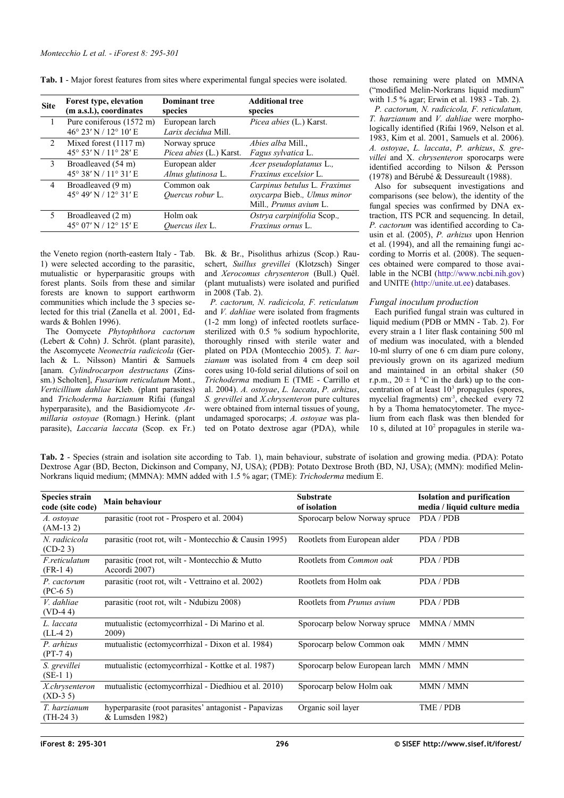| <b>Site</b>   | Forest type, elevation                            | <b>Dominant tree</b>                  | <b>Additional tree</b>                                                                |
|---------------|---------------------------------------------------|---------------------------------------|---------------------------------------------------------------------------------------|
|               | (m a.s.l.), coordinates                           | species                               | species                                                                               |
| $\mathbf{1}$  | Pure coniferous (1572 m)<br>46° 23' N / 12° 10' E | European larch<br>Larix decidua Mill. | Picea abies (L.) Karst.                                                               |
| $\mathcal{L}$ | Mixed forest $(1117 \text{ m})$                   | Norway spruce                         | <i>Abies alba Mill</i>                                                                |
|               | 45° 53' N / 11° 28' E                             | Picea abies (L.) Karst.               | Fagus sylvatica L.                                                                    |
| $\mathcal{E}$ | Broadleaved (54 m)                                | European alder                        | Acer pseudoplatanus L.,                                                               |
|               | 45° 38' N / 11° 31' E                             | Alnus glutinosa L.                    | <i>Fraxinus excelsior</i> L.                                                          |
| 4             | Broadleaved (9 m)<br>45° 49' N / 12° 31' E        | Common oak<br>Quercus robur L.        | Carpinus betulus L. Fraxinus<br>oxycarpa Bieb., Ulmus minor<br>Mill., Prunus avium L. |
| 5             | Broadleaved (2 m)                                 | Holm oak                              | Ostrya carpinifolia Scop.,                                                            |
|               | 45° 07' N / 12° 15' E                             | Ouercus ilex L.                       | Fraxinus ornus L.                                                                     |

<span id="page-1-0"></span>**Tab. 1** - Major forest features from sites where experimental fungal species were isolated.

the Veneto region (north-eastern Italy - [Tab.](#page-1-0) [1\)](#page-1-0) were selected according to the parasitic, mutualistic or hyperparasitic groups with forest plants. Soils from these and similar forests are known to support earthworm communities which include the 3 species selected for this trial (Zanella et al. 2001, Edwards & Bohlen 1996).

The Oomycete *Phytophthora cactorum* (Lebert & Cohn) J. Schröt. (plant parasite), the Ascomycete *Neonectria radicicola* (Gerlach & L. Nilsson) Mantiri & Samuels [anam. *Cylindrocarpon destructans* (Zinssm.) Scholten], *Fusarium reticulatum* Mont., *Verticillium dahliae* Kleb. (plant parasites) and *Trichoderma harzianum* Rifai (fungal hyperparasite), and the Basidiomycote *Armillaria ostoyae* (Romagn.) Herink. (plant parasite), *Laccaria laccata* (Scop. ex Fr.) Bk. & Br., Pisolithus arhizus (Scop.) Rauschert, *Suillus grevillei* (Klotzsch) Singer and *Xerocomus chrysenteron* (Bull.) Quél. (plant mutualists) were isolated and purified in 2008 [\(Tab. 2\)](#page-1-1).

*P. cactorum, N. radicicola, F. reticulatum* and *V. dahliae* were isolated from fragments (1-2 mm long) of infected rootlets surfacesterilized with 0.5 % sodium hypochlorite, thoroughly rinsed with sterile water and plated on PDA (Montecchio 2005). *T. harzianum* was isolated from 4 cm deep soil cores using 10-fold serial dilutions of soil on *Trichoderma* medium E (TME - Carrillo et al. 2004). *A. ostoyae*, *L. laccata*, *P. arhizus*, *S. grevillei* and *X.chrysenteron* pure cultures were obtained from internal tissues of young, undamaged sporocarps; *A. ostoyae* was plated on Potato dextrose agar (PDA), while those remaining were plated on MMNA ("modified Melin-Norkrans liquid medium" with 1.5 % agar; Erwin et al. 1983 - [Tab. 2\)](#page-1-1).

*P. cactorum, N. radicicola, F. reticulatum, T. harzianum* and *V. dahliae* were morphologically identified (Rifai 1969, Nelson et al. 1983, Kim et al. 2001, Samuels et al. 2006). *A. ostoyae*, *L. laccata*, *P. arhizus*, *S. grevillei* and X. *chrysenteron* sporocarps were identified according to Nilson & Persson (1978) and Bérubé & Dessureault (1988).

Also for subsequent investigations and comparisons (see below), the identity of the fungal species was confirmed by DNA extraction, ITS PCR and sequencing. In detail, *P. cactorum* was identified according to Causin et al. (2005), *P. arhizus* upon Henrion et al. (1994), and all the remaining fungi according to Morris et al. (2008). The sequences obtained were compared to those available in the NCBI [\(http://www.ncbi.nih.gov\)](http://www.ncbi.nih.gov/) and UNITE [\(http://unite.ut.ee\)](http://unite.ut.ee/) databases.

# *Fungal inoculum production*

Each purified fungal strain was cultured in liquid medium (PDB or MMN - [Tab. 2\)](#page-1-1). For every strain a 1 liter flask containing 500 ml of medium was inoculated, with a blended 10-ml slurry of one 6 cm diam pure colony, previously grown on its agarized medium and maintained in an orbital shaker (50 r.p.m.,  $20 \pm 1$  °C in the dark) up to the concentration of at least  $10<sup>3</sup>$  propagules (spores, mycelial fragments) cm<sup>-3</sup>, checked every 72 h by a Thoma hematocytometer. The mycelium from each flask was then blended for 10 s, diluted at  $10<sup>2</sup>$  propagules in sterile wa-

<span id="page-1-1"></span>**Tab. 2** - Species (strain and isolation site according to [Tab. 1\)](#page-1-0), main behaviour, substrate of isolation and growing media. (PDA): Potato Dextrose Agar (BD, Becton, Dickinson and Company, NJ, USA); (PDB): Potato Dextrose Broth (BD, NJ, USA); (MMN): modified Melin-Norkrans liquid medium; (MMNA): MMN added with 1.5 % agar; (TME): *Trichoderma* medium E.

| <b>Species strain</b><br>code (site code) | <b>Main behaviour</b>                                                    | <b>Substrate</b><br>of isolation  | <b>Isolation and purification</b><br>media / liquid culture media |
|-------------------------------------------|--------------------------------------------------------------------------|-----------------------------------|-------------------------------------------------------------------|
| A. ostoyae<br>$(AM-132)$                  | parasitic (root rot - Prospero et al. 2004)                              | Sporocarp below Norway spruce     | PDA / PDB                                                         |
| N. radicicola<br>$(CD-23)$                | parasitic (root rot, wilt - Montecchio & Causin 1995)                    | Rootlets from European alder      | PDA / PDB                                                         |
| F.reticulatum<br>$(FR-14)$                | parasitic (root rot, wilt - Montecchio $\&$ Mutto<br>Accordi 2007)       | Rootlets from Common oak          | PDA / PDB                                                         |
| P. cactorum<br>$(PC-6.5)$                 | parasitic (root rot, wilt - Vettraino et al. 2002)                       | Rootlets from Holm oak            | PDA/PDB                                                           |
| V. dahliae<br>$(VD-44)$                   | parasitic (root rot, wilt - Ndubizu 2008)                                | Rootlets from <i>Prunus avium</i> | PDA / PDB                                                         |
| L. laccata<br>$(LL-42)$                   | mutualistic (ectomycorrhizal - Di Marino et al.<br>2009)                 | Sporocarp below Norway spruce     | MMNA / MMN                                                        |
| P. arhizus<br>$(PT-74)$                   | mutualistic (ectomycorrhizal - Dixon et al. 1984)                        | Sporocarp below Common oak        | MMN / MMN                                                         |
| S. grevillei<br>$(SE-1)$                  | mutualistic (ectomycorrhizal - Kottke et al. 1987)                       | Sporocarp below European larch    | MMN / MMN                                                         |
| X.chrysenteron<br>$(XD-3 5)$              | mutualistic (ectomycorrhizal - Diedhiou et al. 2010)                     | Sporocarp below Holm oak          | MMN / MMN                                                         |
| T. harzianum<br>$(TH-243)$                | hyperparasite (root parasites' antagonist - Papavizas<br>& Lumsden 1982) | Organic soil layer                | TME / PDB                                                         |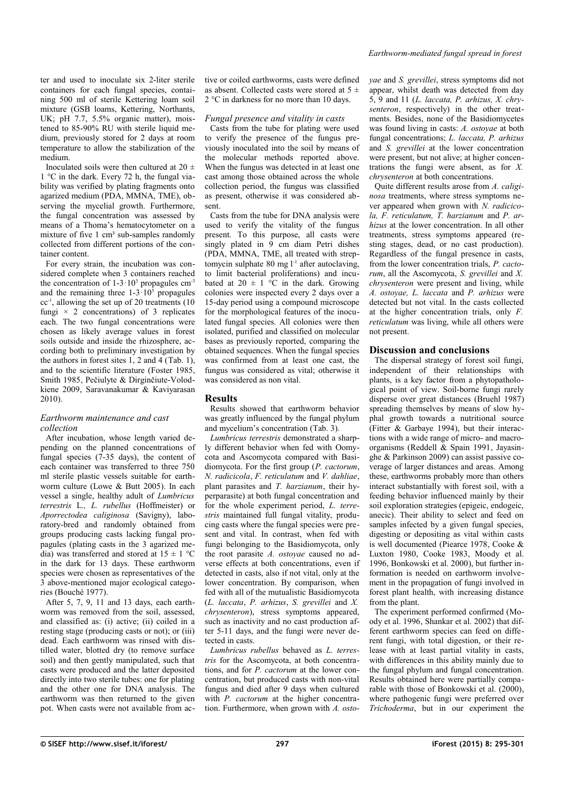ter and used to inoculate six 2-liter sterile containers for each fungal species, containing 500 ml of sterile Kettering loam soil mixture (GSB loams, Kettering, Northants, UK; pH 7.7, 5.5% organic matter), moistened to 85-90% RU with sterile liquid medium, previously stored for 2 days at room temperature to allow the stabilization of the medium.

Inoculated soils were then cultured at  $20 \pm$ 1 °C in the dark. Every 72 h, the fungal viability was verified by plating fragments onto agarized medium (PDA, MMNA, TME), observing the mycelial growth. Furthermore, the fungal concentration was assessed by means of a Thoma's hematocytometer on a mixture of five  $1 \text{ cm}^3$  sub-samples randomly collected from different portions of the container content.

For every strain, the incubation was considered complete when 3 containers reached the concentration of  $1-3 \cdot 10^3$  propagules cm<sup>-3</sup> and the remaining three  $1-3 \cdot 10^5$  propagules  $cc^{-1}$ , allowing the set up of 20 treatments (10) fungi  $\times$  2 concentrations) of 3 replicates each. The two fungal concentrations were chosen as likely average values in forest soils outside and inside the rhizosphere, according both to preliminary investigation by the authors in forest sites 1, 2 and 4 ([Tab. 1\)](#page-1-0), and to the scientific literature (Foster 1985, Smith 1985, Pečiulyte & Dirginčiute-Volodkiene 2009, Saravanakumar & Kaviyarasan 2010).

## *Earthworm maintenance and cast collection*

After incubation, whose length varied depending on the planned concentrations of fungal species (7-35 days), the content of each container was transferred to three 750 ml sterile plastic vessels suitable for earthworm culture (Lowe & Butt 2005). In each vessel a single, healthy adult of *Lumbricus terrestris* L.*, L. rubellus* (Hoffmeister) or *Aporrectodea caliginosa* (Savigny), laboratory-bred and randomly obtained from groups producing casts lacking fungal propagules (plating casts in the 3 agarized media) was transferred and stored at  $15 \pm 1$  °C in the dark for 13 days. These earthworm species were chosen as representatives of the 3 above-mentioned major ecological categories (Bouché 1977).

After 5, 7, 9, 11 and 13 days, each earthworm was removed from the soil, assessed, and classified as: (i) active; (ii) coiled in a resting stage (producing casts or not); or (iii) dead. Each earthworm was rinsed with distilled water, blotted dry (to remove surface soil) and then gently manipulated, such that casts were produced and the latter deposited directly into two sterile tubes: one for plating and the other one for DNA analysis. The earthworm was then returned to the given pot. When casts were not available from ac-

tive or coiled earthworms, casts were defined as absent. Collected casts were stored at  $5 \pm$ 2 °C in darkness for no more than 10 days.

#### *Fungal presence and vitality in casts*

Casts from the tube for plating were used to verify the presence of the fungus previously inoculated into the soil by means of the molecular methods reported above. When the fungus was detected in at least one cast among those obtained across the whole collection period, the fungus was classified as present, otherwise it was considered absent.

Casts from the tube for DNA analysis were used to verify the vitality of the fungus present. To this purpose, all casts were singly plated in  $\overline{9}$  cm diam Petri dishes (PDA, MMNA, TME, all treated with streptomycin sulphate 80 mg  $l^{-1}$  after autoclaving, to limit bacterial proliferations) and incubated at  $20 \pm 1$  °C in the dark. Growing colonies were inspected every 2 days over a 15-day period using a compound microscope for the morphological features of the inoculated fungal species. All colonies were then isolated, purified and classified on molecular bases as previously reported, comparing the obtained sequences. When the fungal species was confirmed from at least one cast, the fungus was considered as vital; otherwise it was considered as non vital.

# **Results**

Results showed that earthworm behavior was greatly influenced by the fungal phylum and mycelium's concentration [\(Tab. 3\)](#page-3-0).

*Lumbricus terrestris* demonstrated a sharply different behavior when fed with Oomycota and Ascomycota compared with Basidiomycota. For the first group (*P. cactorum*, *N. radicicola*, *F. reticulatum* and *V. dahliae*, plant parasites and *T. harzianum*, their hyperparasite) at both fungal concentration and for the whole experiment period, *L. terrestris* maintained full fungal vitality, producing casts where the fungal species were present and vital. In contrast, when fed with fungi belonging to the Basidiomycota, only the root parasite *A. ostoyae* caused no adverse effects at both concentrations, even if detected in casts, also if not vital, only at the lower concentration. By comparison, when fed with all of the mutualistic Basidiomycota (*L. laccata*, *P. arhizus*, *S. grevillei* and *X. chrysenteron*), stress symptoms appeared, such as inactivity and no cast production after 5-11 days, and the fungi were never detected in casts.

*Lumbricus rubellus* behaved as *L. terrestris* for the Ascomycota, at both concentrations, and for *P. cactorum* at the lower concentration, but produced casts with non-vital fungus and died after 9 days when cultured with *P. cactorum* at the higher concentration. Furthermore, when grown with *A. osto-* *yae* and *S. grevillei*, stress symptoms did not appear, whilst death was detected from day 5, 9 and 11 (*L. laccata, P. arhizus, X. chrysenteron*, respectively) in the other treatments. Besides, none of the Basidiomycetes was found living in casts: *A. ostoyae* at both fungal concentrations; *L. laccata, P. arhizus* and *S. grevillei* at the lower concentration were present, but not alive; at higher concentrations the fungi were absent, as for *X. chrysenteron* at both concentrations.

Quite different results arose from *A. caliginosa* treatments, where stress symptoms never appeared when grown with *N. radicicola, F. reticulatum, T. harzianum* and *P. arhizus* at the lower concentration. In all other treatments, stress symptoms appeared (resting stages, dead, or no cast production). Regardless of the fungal presence in casts, from the lower concentration trials, *P. cactorum*, all the Ascomycota, *S. grevillei* and *X. chrysenteron* were present and living, while *A. ostoyae, L. laccata* and *P. arhizus* were detected but not vital. In the casts collected at the higher concentration trials, only *F. reticulatum* was living, while all others were not present.

# **Discussion and conclusions**

The dispersal strategy of forest soil fungi, independent of their relationships with plants, is a key factor from a phytopathological point of view. Soil-borne fungi rarely disperse over great distances (Bruehl 1987) spreading themselves by means of slow hyphal growth towards a nutritional source (Fitter & Garbaye 1994), but their interactions with a wide range of micro- and macroorganisms (Reddell & Spain 1991, Jayasinghe & Parkinson 2009) can assist passive coverage of larger distances and areas. Among these, earthworms probably more than others interact substantially with forest soil, with a feeding behavior influenced mainly by their soil exploration strategies (epigeic, endogeic, anecic). Their ability to select and feed on samples infected by a given fungal species. digesting or depositing as vital within casts is well documented (Piearce 1978, Cooke & Luxton 1980, Cooke 1983, Moody et al. 1996, Bonkowski et al. 2000), but further information is needed on earthworm involvement in the propagation of fungi involved in forest plant health, with increasing distance from the plant.

The experiment performed confirmed (Moody et al. 1996, Shankar et al. 2002) that different earthworm species can feed on different fungi, with total digestion, or their release with at least partial vitality in casts, with differences in this ability mainly due to the fungal phylum and fungal concentration. Results obtained here were partially comparable with those of Bonkowski et al. (2000), where pathogenic fungi were preferred over *Trichoderma*, but in our experiment the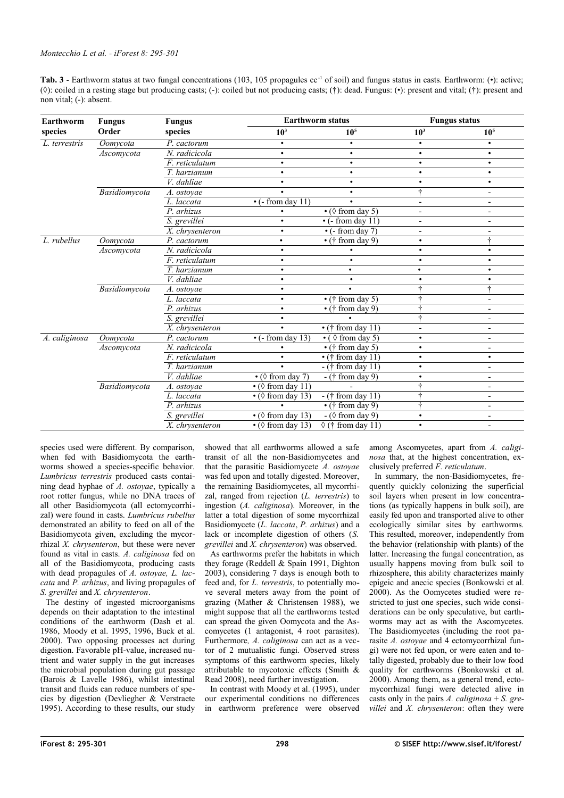<span id="page-3-0"></span>

| <b>Tab. 3</b> - Earthworm status at two fungal concentrations (103, 105 propagules $cc^{-1}$ of soil) and fungus status in casts. Earthworm: (•): active;                 |
|---------------------------------------------------------------------------------------------------------------------------------------------------------------------------|
| ( $\Diamond$ ): coiled in a resting stage but producing casts; (-): coiled but not producing casts; (+): dead. Fungus: ( $\bullet$ ): present and vital; (+): present and |
| non vital; $(-)$ : absent.                                                                                                                                                |

| Earthworm     | <b>Fungus</b><br>Order | <b>Fungus</b><br>species     | <b>Earthworm status</b>             |                                                   | <b>Fungus status</b>     |                          |
|---------------|------------------------|------------------------------|-------------------------------------|---------------------------------------------------|--------------------------|--------------------------|
| species       |                        |                              | 10 <sup>3</sup>                     | 10 <sup>5</sup>                                   | 10 <sup>3</sup>          | 10 <sup>5</sup>          |
| L. terrestris | Oomvcota               | P. cactorum                  |                                     | $\bullet$                                         | $\bullet$                | $\bullet$                |
|               | Ascomycota             | N. radicicola                | $\bullet$                           | ٠                                                 |                          | $\bullet$                |
|               |                        | F. reticulatum               | $\bullet$                           | $\bullet$                                         |                          | $\bullet$                |
|               |                        | T. harzianum                 | $\bullet$                           | $\bullet$                                         | $\bullet$                | $\bullet$                |
|               |                        | V. dahliae                   | $\bullet$                           | $\bullet$                                         | ٠                        | $\bullet$                |
|               | Basidiomycota          | A. ostoyae                   | $\bullet$                           | $\bullet$                                         | ÷                        | $\overline{\phantom{a}}$ |
|               |                        | L. laccata                   | $\bullet$ (- from day 11)           |                                                   |                          |                          |
|               |                        | P. arhizus                   |                                     | $\bullet$ ( $\Diamond$ from day 5)                | $\blacksquare$           | $\overline{\phantom{a}}$ |
|               |                        | S. grevillei                 | $\bullet$                           | $\cdot$ (- from day 11)                           |                          |                          |
|               |                        | X. chrysenteron              | $\bullet$                           | $\overline{\cdot}$ (- from day 7)                 |                          |                          |
| L. rubellus   | Oomycota               | P. cactorum                  |                                     | $\overline{\cdot}$ († from day 9)                 | $\bullet$                | 4                        |
|               | Ascomvcota             | N. radicicola                | $\bullet$                           |                                                   | $\bullet$                | $\bullet$                |
|               |                        | F. reticulatum               | $\bullet$                           | $\bullet$                                         |                          | $\bullet$                |
|               |                        | T. harzianum                 | $\bullet$                           |                                                   | ٠                        | ٠                        |
|               |                        | V. dahliae                   | $\bullet$                           | ٠                                                 |                          | $\bullet$                |
|               | Basidiomycota          | A. ostoyae                   | $\bullet$                           |                                                   |                          | ÷                        |
|               |                        | L. laccata                   | $\bullet$                           | $\cdot$ († from day 5)                            |                          | $\overline{\phantom{a}}$ |
|               |                        | P. arhizus                   | $\bullet$                           | $\cdot$ († from day 9)                            |                          |                          |
|               |                        | S. grevillei                 | $\bullet$                           |                                                   |                          | $\overline{\phantom{a}}$ |
|               |                        | X. chrysenteron              | $\bullet$                           | $\cdot$ († from day 11)                           | $\overline{\phantom{a}}$ |                          |
| A. caliginosa | Oomycota               | P. cactorum                  | $\bullet$ (- from day 13)           | $\overline{\cdot$ ( $\Diamond$ from day 5)        | $\bullet$                | $\overline{\phantom{a}}$ |
|               | Ascomvcota             | N. radicicola                |                                     | $\overline{\cdot}$ († from day 5)                 |                          | $\overline{\phantom{0}}$ |
|               |                        | $\overline{F}$ . reticulatum | ٠                                   | $\cdot$ († from day 11)                           | $\bullet$                | $\bullet$                |
|               |                        | T. harzianum                 |                                     | $-(\dagger$ from day 11)                          | $\bullet$                | $\overline{\phantom{a}}$ |
|               |                        | V. dahliae                   | $\bullet$ ( $\Diamond$ from day 7)  | $\overline{-}$ († from day 9)                     | ٠                        | $\overline{\phantom{a}}$ |
|               | Basidiomycota          | A. ostovae                   | $\bullet$ ( $\Diamond$ from day 11) |                                                   |                          | $\overline{\phantom{a}}$ |
|               |                        | L. laccata                   | $\bullet$ ( $\Diamond$ from day 13) | $-(†$ from day 11)                                | ÷                        | $\overline{a}$           |
|               |                        | P. arhizus                   |                                     | $\overline{\cdot}$ († from day 9)                 | ÷                        | $\overline{\phantom{a}}$ |
|               |                        | S. grevillei                 | $\cdot$ ( $\Diamond$ from day 13)   | $\overline{\phantom{a}}$ ( $\Diamond$ from day 9) | ٠                        |                          |
|               |                        | X. chrysenteron              | $\bullet$ ( $\Diamond$ from day 13) | $\sqrt[3]{t}$ from day 11)                        | $\bullet$                | $\blacksquare$           |

species used were different. By comparison, when fed with Basidiomycota the earthworms showed a species-specific behavior. *Lumbricus terrestris* produced casts containing dead hyphae of *A. ostoyae*, typically a root rotter fungus, while no DNA traces of all other Basidiomycota (all ectomycorrhizal) were found in casts. *Lumbricus rubellus* demonstrated an ability to feed on all of the Basidiomycota given, excluding the mycorrhizal *X. chrysenteron*, but these were never found as vital in casts. *A. caliginosa* fed on all of the Basidiomycota, producing casts with dead propagules of *A. ostoyae, L. laccata* and *P. arhizus*, and living propagules of *S. grevillei* and *X. chrysenteron*.

The destiny of ingested microorganisms depends on their adaptation to the intestinal conditions of the earthworm (Dash et al. 1986, Moody et al. 1995, 1996, Buck et al. 2000). Two opposing processes act during digestion. Favorable pH-value, increased nutrient and water supply in the gut increases the microbial population during gut passage (Barois & Lavelle 1986), whilst intestinal transit and fluids can reduce numbers of species by digestion (Devliegher & Verstraete 1995). According to these results, our study showed that all earthworms allowed a safe transit of all the non-Basidiomycetes and that the parasitic Basidiomycete *A. ostoyae* was fed upon and totally digested. Moreover, the remaining Basidiomycetes, all mycorrhizal, ranged from rejection (*L. terrestris*) to ingestion (*A. caliginosa*). Moreover, in the latter a total digestion of some mycorrhizal Basidiomycete (*L. laccata*, *P. arhizus*) and a lack or incomplete digestion of others (*S. grevillei* and *X. chrysenteron*) was observed.

As earthworms prefer the habitats in which they forage (Reddell & Spain 1991, Dighton 2003), considering 7 days is enough both to feed and, for *L. terrestris*, to potentially move several meters away from the point of grazing (Mather  $\&$  Christensen 1988), we might suppose that all the earthworms tested can spread the given Oomycota and the Ascomycetes (1 antagonist, 4 root parasites). Furthermore*, A. caliginosa* can act as a vector of 2 mutualistic fungi. Observed stress symptoms of this earthworm species, likely attributable to mycotoxic effects (Smith & Read 2008), need further investigation.

In contrast with Moody et al. (1995), under our experimental conditions no differences in earthworm preference were observed among Ascomycetes, apart from *A. caliginosa* that, at the highest concentration, exclusively preferred *F. reticulatum*.

In summary, the non-Basidiomycetes, frequently quickly colonizing the superficial soil layers when present in low concentrations (as typically happens in bulk soil), are easily fed upon and transported alive to other ecologically similar sites by earthworms. This resulted, moreover, independently from the behavior (relationship with plants) of the latter. Increasing the fungal concentration, as usually happens moving from bulk soil to rhizosphere, this ability characterizes mainly epigeic and anecic species (Bonkowski et al. 2000). As the Oomycetes studied were restricted to just one species, such wide considerations can be only speculative, but earthworms may act as with the Ascomycetes. The Basidiomycetes (including the root parasite *A. ostoyae* and 4 ectomycorrhizal fungi) were not fed upon, or were eaten and totally digested, probably due to their low food quality for earthworms (Bonkowski et al. 2000). Among them, as a general trend, ectomycorrhizal fungi were detected alive in casts only in the pairs *A. caliginosa* + *S. grevillei* and *X. chrysenteron*: often they were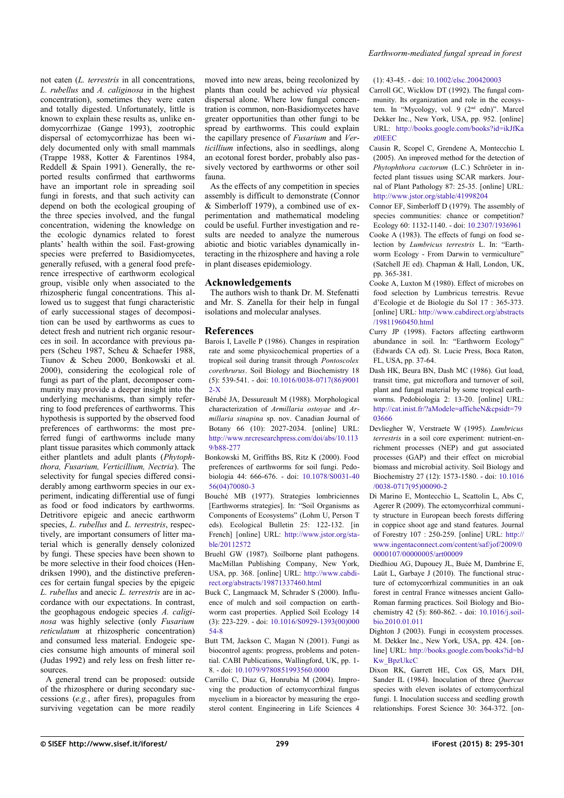not eaten (*L. terrestris* in all concentrations, *L. rubellus* and *A. caliginosa* in the highest concentration), sometimes they were eaten and totally digested. Unfortunately, little is known to explain these results as, unlike endomycorrhizae (Gange 1993), zootrophic dispersal of ectomycorrhizae has been widely documented only with small mammals (Trappe 1988, Kotter & Farentinos 1984, Reddell & Spain 1991). Generally, the reported results confirmed that earthworms have an important role in spreading soil fungi in forests, and that such activity can depend on both the ecological grouping of the three species involved, and the fungal concentration, widening the knowledge on the ecologic dynamics related to forest plants' health within the soil. Fast-growing species were preferred to Basidiomycetes, generally refused, with a general food preference irrespective of earthworm ecological group, visible only when associated to the rhizospheric fungal concentrations. This allowed us to suggest that fungi characteristic of early successional stages of decomposition can be used by earthworms as cues to detect fresh and nutrient rich organic resources in soil. In accordance with previous papers (Scheu 1987, Scheu & Schaefer 1988, Tiunov & Scheu 2000, Bonkowski et al. 2000), considering the ecological role of fungi as part of the plant, decomposer community may provide a deeper insight into the underlying mechanisms, than simply referring to food preferences of earthworms. This hypothesis is supported by the observed food preferences of earthworms: the most preferred fungi of earthworms include many plant tissue parasites which commonly attack either plantlets and adult plants (*Phytophthora, Fusarium, Verticillium, Nectria*). The selectivity for fungal species differed considerably among earthworm species in our experiment, indicating differential use of fungi as food or food indicators by earthworms. Detritivore epigeic and anecic earthworm species, *L. rubellus* and *L. terrestris*, respectively, are important consumers of litter material which is generally densely colonized by fungi. These species have been shown to be more selective in their food choices (Hendriksen 1990), and the distinctive preferences for certain fungal species by the epigeic *L. rubellus* and anecic *L. terrestris* are in accordance with our expectations. In contrast, the geophagous endogeic species *A. caliginosa* was highly selective (only *Fusarium reticulatum* at rhizospheric concentration) and consumed less material. Endogeic species consume high amounts of mineral soil (Judas 1992) and rely less on fresh litter resources.

A general trend can be proposed: outside of the rhizosphere or during secondary successions (*e.g.*, after fires), propagules from surviving vegetation can be more readily moved into new areas, being recolonized by plants than could be achieved *via* physical dispersal alone. Where low fungal concentration is common, non-Basidiomycetes have greater opportunities than other fungi to be spread by earthworms. This could explain the capillary presence of *Fusarium* and *Verticillium* infections, also in seedlings, along an ecotonal forest border, probably also passively vectored by earthworms or other soil fauna.

As the effects of any competition in species assembly is difficult to demonstrate (Connor & Simberloff 1979), a combined use of experimentation and mathematical modeling could be useful. Further investigation and results are needed to analyze the numerous abiotic and biotic variables dynamically interacting in the rhizosphere and having a role in plant diseases epidemiology.

## **Acknowledgements**

The authors wish to thank Dr. M. Stefenatti and Mr. S. Zanella for their help in fungal isolations and molecular analyses.

#### **References**

- Barois I, Lavelle P (1986). Changes in respiration rate and some physicochemical properties of a tropical soil during transit through *Pontoscolex corethrurus*. Soil Biology and Biochemistry 18 (5): 539-541. - doi: [10.1016/0038-0717\(86\)9001](http://dx.doi.org/10.1016/0038-0717(86)90012-X)  $2-X$
- Bérubé JA, Dessureault M (1988). Morphological characterization of *Armillaria ostoyae* and *Armillaria sinapina* sp. nov. Canadian Journal of Botany 66 (10): 2027-2034. [online] URL: [http://www.nrcresearchpress.com/doi/abs/10.113](http://www.nrcresearchpress.com/doi/abs/10.1139/b88-277%EF%BB%BF) [9/b88-277](http://www.nrcresearchpress.com/doi/abs/10.1139/b88-277%EF%BB%BF)
- Bonkowski M, Griffiths BS, Ritz K (2000). Food preferences of earthworms for soil fungi. Pedobiologia 44: 666-676. - doi: [10.1078/S0031-40](http://dx.doi.org/10.1078/S0031-4056(04)70080-3) [56\(04\)70080-3](http://dx.doi.org/10.1078/S0031-4056(04)70080-3)
- Bouché MB (1977). Strategies lombriciennes [Earthworms strategies]. In: "Soil Organisms as Components of Ecosystems" (Lohm U, Person T eds). Ecological Bulletin 25: 122-132. [in French] [online] URL: [http://www.jstor.org/sta](http://www.jstor.org/stable/20112572)[ble/20112572](http://www.jstor.org/stable/20112572)
- Bruehl GW (1987). Soilborne plant pathogens. MacMillan Publishing Company, New York, USA, pp. 368. [online] URL: [http://www.cabdi](http://www.cabdirect.org/abstracts/19871337460.html)[rect.org/abstracts/19871337460.html](http://www.cabdirect.org/abstracts/19871337460.html)
- Buck C, Langmaack M, Schrader S (2000). Influence of mulch and soil compaction on earthworm cast properties. Applied Soil Ecology 14 (3): 223-229. - doi: [10.1016/S0929-1393\(00\)000](http://dx.doi.org/10.1016/S0929-1393(00)00054-8) [54-8](http://dx.doi.org/10.1016/S0929-1393(00)00054-8)
- Butt TM, Jackson C, Magan N (2001). Fungi as biocontrol agents: progress, problems and potential. CABI Publications, Wallingford, UK, pp. 1- 8. - doi: [10.1079/9780851993560.0000](http://dx.doi.org/10.1079/9780851993560.0000)
- Carrillo C, Diaz G, Honrubia M (2004). Improving the production of ectomycorrhizal fungus mycelium in a bioreactor by measuring the ergosterol content. Engineering in Life Sciences 4

#### *Earthworm-mediated fungal spread in forest*

#### (1): 43-45. - doi: [10.1002/elsc.200420003](http://dx.doi.org/10.1002/elsc.200420003)

Carroll GC, Wicklow DT (1992). The fungal community. Its organization and role in the ecosystem. In "Mycology, vol. 9 (2<sup>nd</sup> edn)". Marcel Dekker Inc., New York, USA, pp. 952. [online] URL: [http://books.google.com/books?id=ikJfKa](http://books.google.com/books?id=ikJfKaz0lEEC) [z0lEEC](http://books.google.com/books?id=ikJfKaz0lEEC)

- Causin R, Scopel C, Grendene A, Montecchio L (2005). An improved method for the detection of *Phytophthora cactorum* (L.C.) Schröeter in infected plant tissues using SCAR markers. Journal of Plant Pathology 87: 25-35. [online] URL: <http://www.jstor.org/stable/41998204>
- Connor EF, Simberloff D (1979). The assembly of species communities: chance or competition? Ecology 60: 1132-1140. - doi: [10.2307/1936961](http://dx.doi.org/10.2307/1936961)
- Cooke A (1983). The effects of fungi on food selection by *Lumbricus terrestris* L. In: "Earthworm Ecology - From Darwin to vermiculture" (Satchell JE ed). Chapman & Hall, London, UK, pp. 365-381.
- Cooke A, Luxton M (1980). Effect of microbes on food selection by Lumbricus terrestris. Revue d'Ecologie et de Biologie du Sol 17 : 365-373. [online] URL: [http://www.cabdirect.org/abstracts](http://www.cabdirect.org/abstracts/19811960450.html) [/19811960450.html](http://www.cabdirect.org/abstracts/19811960450.html)
- Curry JP (1998). Factors affecting earthworm abundance in soil. In: "Earthworm Ecology" (Edwards CA ed). St. Lucie Press, Boca Raton, FL, USA, pp. 37-64.
- Dash HK, Beura BN, Dash MC (1986). Gut load, transit time, gut microflora and turnover of soil, plant and fungal material by some tropical earthworms. Pedobiologia 2: 13-20. [online] URL: [http://cat.inist.fr/?aModele=afficheN&cpsidt=79](http://cat.inist.fr/?aModele=afficheN&cpsidt=7903666) [03666](http://cat.inist.fr/?aModele=afficheN&cpsidt=7903666)
- Devliegher W, Verstraete W (1995). *Lumbricus terrestris* in a soil core experiment: nutrient-enrichment processes (NEP) and gut associated processes (GAP) and their effect on microbial biomass and microbial activity. Soil Biology and Biochemistry 27 (12): 1573-1580. - doi: [10.1016](http://dx.doi.org/10.1016/0038-0717(95)00090-2) [/0038-0717\(95\)00090-2](http://dx.doi.org/10.1016/0038-0717(95)00090-2)
- Di Marino E, Montecchio L, Scattolin L, Abs C, Agerer R (2009). The ectomycorrhizal community structure in European beech forests differing in coppice shoot age and stand features. Journal of Forestry 107 : 250-259. [online] URL: [http://](http://www.ingentaconnect.com/content/saf/jof/2009/00000107/00000005/art00009) [www.ingentaconnect.com/content/saf/jof/2009/0](http://www.ingentaconnect.com/content/saf/jof/2009/00000107/00000005/art00009) [0000107/00000005/art00009](http://www.ingentaconnect.com/content/saf/jof/2009/00000107/00000005/art00009)
- Diedhiou AG, Dupouey JL, Buée M, Dambrine E, Laüt L, Garbaye J (2010). The functional structure of ectomycorrhizal communities in an oak forest in central France witnesses ancient Gallo-Roman farming practices. Soil Biology and Biochemistry 42 (5): 860-862. - doi: [10.1016/j.soil](http://dx.doi.org/10.1016/j.soilbio.2010.01.011)[bio.2010.01.011](http://dx.doi.org/10.1016/j.soilbio.2010.01.011)
- Dighton J (2003). Fungi in ecosystem processes. M. Dekker Inc., New York, USA, pp. 424. [online] URL: [http://books.google.com/books?id=bJ](http://books.google.com/books?id=bJKw_BpzUkcC) [Kw\\_BpzUkcC](http://books.google.com/books?id=bJKw_BpzUkcC)
- Dixon RK, Garrett HE, Cox GS, Marx DH, Sander IL (1984). Inoculation of three *Quercus* species with eleven isolates of ectomycorrhizal fungi. I. Inoculation success and seedling growth relationships. Forest Science 30: 364-372. [on-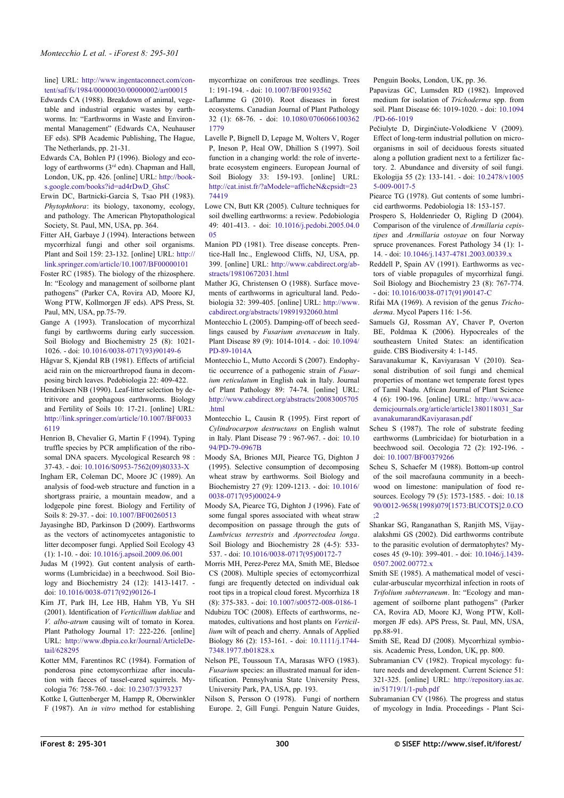line] URL: [http://www.ingentaconnect.com/con](http://www.ingentaconnect.com/content/saf/fs/1984/00000030/00000002/art00015)[tent/saf/fs/1984/00000030/00000002/art00015](http://www.ingentaconnect.com/content/saf/fs/1984/00000030/00000002/art00015)

- Edwards CA (1988). Breakdown of animal, vegetable and industrial organic wastes by earthworms. In: "Earthworms in Waste and Environmental Management" (Edwards CA, Neuhauser EF eds). SPB Academic Publishing, The Hague, The Netherlands, pp. 21-31.
- Edwards CA, Bohlen PJ (1996). Biology and ecology of earthworms (3<sup>rd</sup> edn). Chapman and Hall, London, UK, pp. 426. [online] URL: [http://book](http://books.google.com/books?id=ad4rDwD_GhsC)[s.google.com/books?id=ad4rDwD\\_GhsC](http://books.google.com/books?id=ad4rDwD_GhsC)
- Erwin DC, Bartnicki-Garcia S, Tsao PH (1983). *Phytophthora*: its biology, taxonomy, ecology, and pathology. The American Phytopathological Society, St. Paul, MN, USA, pp. 364.
- Fitter AH, Garbaye J (1994). Interactions between mycorrhizal fungi and other soil organisms. Plant and Soil 159: 23-132. [online] URL: [http://](http://link.springer.com/article/10.1007/BF00000101) [link.springer.com/article/10.1007/BF00000101](http://link.springer.com/article/10.1007/BF00000101)
- Foster RC (1985). The biology of the rhizosphere. In: "Ecology and management of soilborne plant pathogens" (Parker CA, Rovira AD, Moore KJ, Wong PTW, Kollmorgen JF eds). APS Press, St. Paul, MN, USA, pp.75-79.
- Gange A (1993). Translocation of mycorrhizal fungi by earthworms during early succession. Soil Biology and Biochemistry 25 (8): 1021- 1026. - doi: [10.1016/0038-0717\(93\)90149-6](http://dx.doi.org/10.1016/0038-0717(93)90149-6)
- Hågvar S, Kjøndal RB (1981). Effects of artificial acid rain on the microarthropod fauna in decomposing birch leaves. Pedobiologia 22: 409-422.
- Hendriksen NB (1990). Leaf-litter selection by detritivore and geophagous earthworms. Biology and Fertility of Soils 10: 17-21. [online] URL: [http://link.springer.com/article/10.1007/BF0033](http://link.springer.com/article/10.1007/BF00336119) [6119](http://link.springer.com/article/10.1007/BF00336119)
- Henrion B, Chevalier G, Martin F (1994). Typing truffle species by PCR amplification of the ribosomal DNA spacers. Mycological Research 98 : 37-43. - doi: [10.1016/S0953-7562\(09\)80333-X](http://dx.doi.org/10.1016/S0953-7562(09)80333-X)
- Ingham ER, Coleman DC, Moore JC (1989). An analysis of food-web structure and function in a shortgrass prairie, a mountain meadow, and a lodgepole pine forest. Biology and Fertility of Soils 8: 29-37. - doi: [10.1007/BF00260513](http://dx.doi.org/10.1007/BF00260513)
- Jayasinghe BD, Parkinson D (2009). Earthworms as the vectors of actinomycetes antagonistic to litter decomposer fungi. Applied Soil Ecology 43 (1): 1-10. - doi: [10.1016/j.apsoil.2009.06.001](http://dx.doi.org/10.1016/j.apsoil.2009.06.001)
- Judas M (1992). Gut content analysis of earthworms (Lumbricidae) in a beechwood. Soil Biology and Biochemistry 24 (12): 1413-1417. doi: [10.1016/0038-0717\(92\)90126-I](http://dx.doi.org/10.1016/0038-0717(92)90126-I)
- Kim JT, Park IH, Lee HB, Hahm YB, Yu SH (2001). Identification of *Verticillium dahliae* and *V. albo-atrum* causing wilt of tomato in Korea. Plant Pathology Journal 17: 222-226. [online] URL: [http://www.dbpia.co.kr/Journal/ArticleDe](http://www.dbpia.co.kr/Journal/ArticleDetail/628295)[tail/628295](http://www.dbpia.co.kr/Journal/ArticleDetail/628295)
- Kotter MM, Farentinos RC (1984). Formation of ponderosa pine ectomycorrhizae after inoculation with faeces of tassel-eared squirrels. Mycologia 76: 758-760. - doi: [10.2307/3793237](http://dx.doi.org/10.2307/3793237)
- Kottke I, Guttenberger M, Hampp R, Oberwinkler F (1987). An *in vitro* method for establishing

mycorrhizae on coniferous tree seedlings. Trees 1: 191-194. - doi: [10.1007/BF00193562](http://dx.doi.org/10.1007/BF00193562)

- Laflamme G (2010). Root diseases in forest ecosystems. Canadian Journal of Plant Pathology 32 (1): 68-76. - doi: [10.1080/0706066100362](http://dx.doi.org/10.1080/07060661003621779) [1779](http://dx.doi.org/10.1080/07060661003621779)
- Lavelle P, Bignell D, Lepage M, Wolters V, Roger P, Ineson P, Heal OW, Dhillion S (1997). Soil function in a changing world: the role of invertebrate ecosystem engineers. European Journal of Soil Biology 33: 159-193. [online] URL: [http://cat.inist.fr/?aModele=afficheN&cpsidt=23](http://cat.inist.fr/?aModele=afficheN&cpsidt=2374419) [74419](http://cat.inist.fr/?aModele=afficheN&cpsidt=2374419)
- Lowe CN, Butt KR (2005). Culture techniques for soil dwelling earthworms: a review. Pedobiologia 49: 401-413. - doi: [10.1016/j.pedobi.2005.04.0](http://dx.doi.org/10.1016/j.pedobi.2005.04.005) [05](http://dx.doi.org/10.1016/j.pedobi.2005.04.005)
- Manion PD (1981). Tree disease concepts. Prentice-Hall Inc., Englewood Cliffs, NJ, USA, pp. 399. [online] URL: [http://www.cabdirect.org/ab](http://www.cabdirect.org/abstracts/19810672031.html)[stracts/19810672031.html](http://www.cabdirect.org/abstracts/19810672031.html)
- Mather JG, Christensen O (1988). Surface movements of earthworms in agricultural land. Pedobiologia 32: 399-405. [online] URL: [http://www.](http://www.cabdirect.org/abstracts/19891932060.html) [cabdirect.org/abstracts/19891932060.html](http://www.cabdirect.org/abstracts/19891932060.html)
- Montecchio L (2005). Damping-off of beech seedlings caused by *Fusarium avenaceum* in Italy. Plant Disease 89 (9): 1014-1014. - doi: [10.1094/](http://dx.doi.org/10.1094/PD-89-1014A) [PD-89-1014A](http://dx.doi.org/10.1094/PD-89-1014A)
- Montecchio L, Mutto Accordi S (2007). Endophytic occurrence of a pathogenic strain of *Fusarium reticulatum* in English oak in Italy. Journal of Plant Pathology 89: 74-74. [online] URL: [http://www.cabdirect.org/abstracts/20083005705](http://www.cabdirect.org/abstracts/20083005705.html) [.html](http://www.cabdirect.org/abstracts/20083005705.html)
- Montecchio L, Causin R (1995). First report of *Cylindrocarpon destructans* on English walnut in Italy. Plant Disease 79 : 967-967. - doi: [10.10](http://dx.doi.org/10.1094/PD-79-0967B) [94/PD-79-0967B](http://dx.doi.org/10.1094/PD-79-0967B)
- Moody SA, Briones MJI, Piearce TG, Dighton J (1995). Selective consumption of decomposing wheat straw by earthworms. Soil Biology and Biochemistry 27 (9): 1209-1213. - doi: [10.1016/](http://dx.doi.org/10.1016/0038-0717(95)00024-9) [0038-0717\(95\)00024-9](http://dx.doi.org/10.1016/0038-0717(95)00024-9)
- Moody SA, Piearce TG, Dighton J (1996). Fate of some fungal spores associated with wheat straw decomposition on passage through the guts of *Lumbricus terrestris* and *Aporrectodea longa*. Soil Biology and Biochemistry 28 (4-5): 533- 537. - doi: [10.1016/0038-0717\(95\)00172-7](http://dx.doi.org/10.1016/0038-0717(95)00172-7)
- Morris MH, Perez-Perez MA, Smith ME, Bledsoe CS (2008). Multiple species of ectomycorrhizal fungi are frequently detected on individual oak root tips in a tropical cloud forest. Mycorrhiza 18 (8): 375-383. - doi: [10.1007/s00572-008-0186-1](http://dx.doi.org/10.1007/s00572-008-0186-1)
- Ndubizu TOC (2008). Effects of earthworms, nematodes, cultivations and host plants on *Verticillium* wilt of peach and cherry. Annals of Applied Biology 86 (2): 153-161. - doi: [10.1111/j.1744-](http://dx.doi.org/10.1111/j.1744-7348.1977.tb01828.x) [7348.1977.tb01828.x](http://dx.doi.org/10.1111/j.1744-7348.1977.tb01828.x)
- Nelson PE, Toussoun TA, Marasas WFO (1983). *Fusarium* species: an illustrated manual for identification. Pennsylvania State University Press, University Park, PA, USA, pp. 193.
- Nilson S, Persson O (1978). Fungi of northern Europe. 2, Gill Fungi. Penguin Nature Guides,

Penguin Books, London, UK, pp. 36.

- Papavizas GC, Lumsden RD (1982). Improved medium for isolation of *Trichoderma* spp. from soil. Plant Disease 66: 1019-1020. - doi: [10.1094](http://dx.doi.org/10.1094/PD-66-1019) [/PD-66-1019](http://dx.doi.org/10.1094/PD-66-1019)
- Pečiulyte D, Dirginčiute-Volodkiene V (2009). Effect of long-term industrial pollution on microorganisms in soil of deciduous forests situated along a pollution gradient next to a fertilizer factory. 2. Abundance and diversity of soil fungi. Ekologija 55 (2): 133-141. - doi: [10.2478/v1005](http://dx.doi.org/10.2478/v10055-009-0017-5) [5-009-0017-5](http://dx.doi.org/10.2478/v10055-009-0017-5)
- Piearce TG (1978). Gut contents of some lumbricid earthworms. Pedobiologia 18: 153-157.
- Prospero S, Holdenrieder O, Rigling D (2004). Comparison of the virulence of *Armillaria cepistipes* and *Armillaria ostoyae* on four Norway spruce provenances. Forest Pathology 34 (1): 1- 14. - doi: [10.1046/j.1437-4781.2003.00339.x](http://dx.doi.org/10.1046/j.1437-4781.2003.00339.x)
- Reddell P, Spain AV (1991). Earthworms as vectors of viable propagules of mycorrhizal fungi. Soil Biology and Biochemistry 23 (8): 767-774. - doi: [10.1016/0038-0717\(91\)90147-C](http://dx.doi.org/10.1016/0038-0717(91)90147-C)
- Rifai MA (1969). A revision of the genus *Trichoderma*. Mycol Papers 116: 1-56.
- Samuels GJ, Rossman AY, Chaver P, Overton BE, Poldmaa K (2006). Hypocreales of the southeastern United States: an identification guide. CBS Biodiversity 4: 1-145.
- Saravanakumar K, Kaviyarasan V (2010). Seasonal distribution of soil fungi and chemical properties of montane wet temperate forest types of Tamil Nadu. African Journal of Plant Science 4 (6): 190-196. [online] URL: [http://www.aca](http://www.academicjournals.org/article/article1380118031_SaravanakumarandKaviyarasan.pdf)[demicjournals.org/article/article1380118031\\_Sar](http://www.academicjournals.org/article/article1380118031_SaravanakumarandKaviyarasan.pdf) [avanakumarandKaviyarasan.pdf](http://www.academicjournals.org/article/article1380118031_SaravanakumarandKaviyarasan.pdf)
- Scheu S (1987). The role of substrate feeding earthworms (Lumbricidae) for bioturbation in a beechwood soil. Oecologia 72 (2): 192-196. doi: [10.1007/BF00379266](http://dx.doi.org/10.1007/BF00379266)
- Scheu S, Schaefer M (1988). Bottom-up control of the soil macrofauna community in a beechwood on limestone: manipulation of food resources. Ecology 79 (5): 1573-1585. - doi: [10.18](http://dx.doi.org/10.1890/0012-9658(1998)079%5B1573:BUCOTS%5D2.0.CO;2) [90/0012-9658\(1998\)079\[1573:BUCOTS\]2.0.CO](http://dx.doi.org/10.1890/0012-9658(1998)079%5B1573:BUCOTS%5D2.0.CO;2) [;2](http://dx.doi.org/10.1890/0012-9658(1998)079%5B1573:BUCOTS%5D2.0.CO;2)
- Shankar SG, Ranganathan S, Ranjith MS, Vijayalakshmi GS (2002). Did earthworms contribute to the parasitic evolution of dermatophytes? Mycoses 45 (9-10): 399-401. - doi: [10.1046/j.1439-](http://dx.doi.org/10.1046/j.1439-0507.2002.00772.x) [0507.2002.00772.x](http://dx.doi.org/10.1046/j.1439-0507.2002.00772.x)
- Smith SE (1985). A mathematical model of vescicular-arbuscular mycorrhizal infection in roots of *Trifolium subterraneum*. In: "Ecology and management of soilborne plant pathogens" (Parker CA, Rovira AD, Moore KJ, Wong PTW, Kollmorgen JF eds). APS Press, St. Paul, MN, USA, pp.88-91.
- Smith SE, Read DJ (2008). Mycorrhizal symbiosis. Academic Press, London, UK, pp. 800.
- Subramanian CV (1982). Tropical mycology: future needs and development. Current Science 51: 321-325. [online] URL: [http://repository.ias.ac.](http://repository.ias.ac.in/51719/1/1-pub.pdf) [in/51719/1/1-pub.pdf](http://repository.ias.ac.in/51719/1/1-pub.pdf)
- Subramanian CV (1986). The progress and status of mycology in India. Proceedings - Plant Sci-